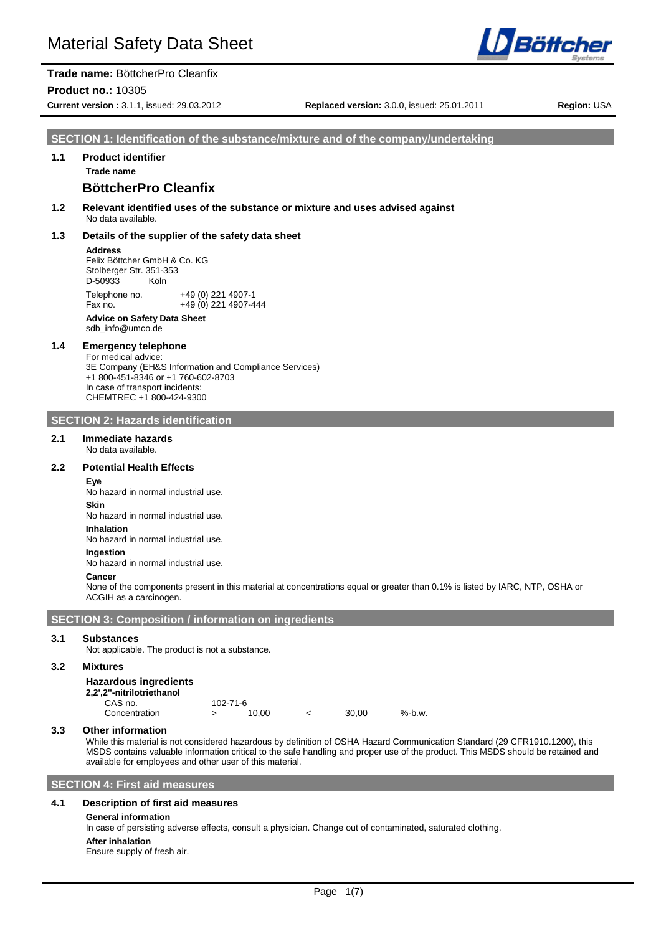

**Trade name:** BöttcherPro Cleanfix **Product no.:** 10305

**Current version :** 3.1.1, issued: 29.03.2012 **Replaced version:** 3.0.0, issued: 25.01.2011 **Region:** USA

**SECTION 1: Identification of the substance/mixture and of the company/undertaking**

# **1.1 Product identifier**

# **Trade name**

# **BöttcherPro Cleanfix**

**1.2 Relevant identified uses of the substance or mixture and uses advised against** No data available.

#### **1.3 Details of the supplier of the safety data sheet**

#### **Address**

Felix Böttcher GmbH & Co. KG Stolberger Str. 351-353 D-50933 Köln Telephone no. +49 (0) 221 4907-1 Fax no. +49 (0) 221 4907-444 **Advice on Safety Data Sheet** sdb\_info@umco.de

# **1.4 Emergency telephone**

For medical advice: 3E Company (EH&S Information and Compliance Services) +1 800-451-8346 or +1 760-602-8703 In case of transport incidents: CHEMTREC +1 800-424-9300

#### **SECTION 2: Hazards identification**

#### **2.1 Immediate hazards**

No data available.

# **2.2 Potential Health Effects**

**Eye** No hazard in normal industrial use.

**Skin**

No hazard in normal industrial use.

**Inhalation**

No hazard in normal industrial use.

#### **Ingestion**

No hazard in normal industrial use.

# **Cancer**

None of the components present in this material at concentrations equal or greater than 0.1% is listed by IARC, NTP, OSHA or ACGIH as a carcinogen.

**SECTION 3: Composition / information on ingredients**

#### **3.1 Substances**

Not applicable. The product is not a substance.

#### **3.2 Mixtures**

#### **Hazardous ingredients**

#### **2,2',2''-nitrilotriethanol**

CAS no.  $102-71-6$ <br>Concentration  $\rightarrow$  10.00 Concentration > 10,00 < 30,00 %-b.w.

#### **3.3 Other information**

While this material is not considered hazardous by definition of OSHA Hazard Communication Standard (29 CFR1910.1200), this MSDS contains valuable information critical to the safe handling and proper use of the product. This MSDS should be retained and available for employees and other user of this material.

#### **SECTION 4: First aid measures**

#### **4.1 Description of first aid measures**

#### **General information**

In case of persisting adverse effects, consult a physician. Change out of contaminated, saturated clothing.

**After inhalation**

Ensure supply of fresh air.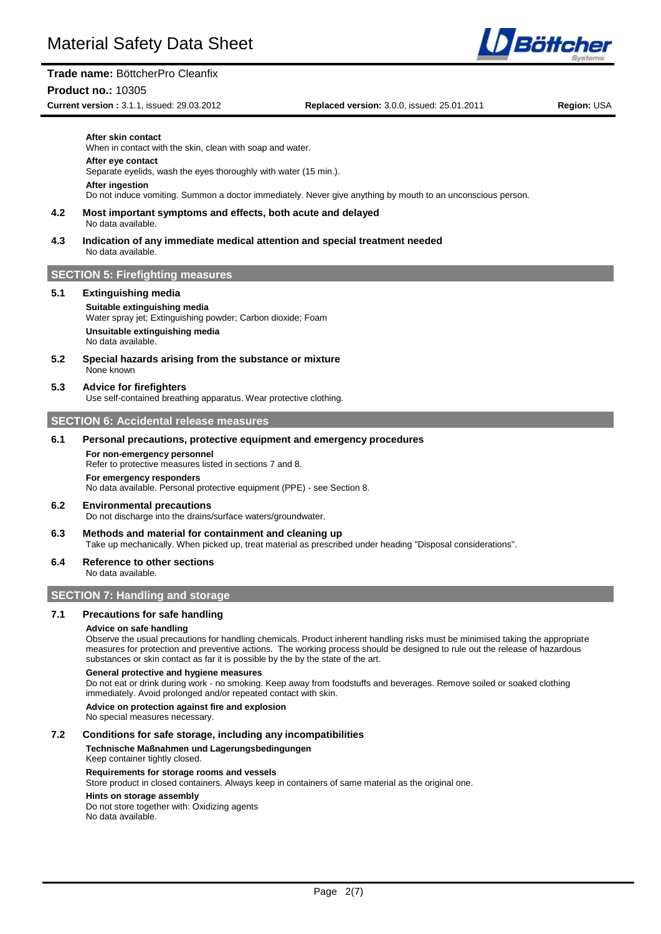#### **Product no.:** 10305

**Current version :** 3.1.1, issued: 29.03.2012 **Replaced version:** 3.0.0, issued: 25.01.2011 **Region:** USA

Böttcher

| After skin contact<br>When in contact with the skin, clean with soap and water.<br>After eye contact<br>Separate eyelids, wash the eyes thoroughly with water (15 min.).<br>After ingestion<br>Do not induce vomiting. Summon a doctor immediately. Never give anything by mouth to an unconscious person.<br>4.2<br>Most important symptoms and effects, both acute and delayed<br>No data available.<br>4.3<br>Indication of any immediate medical attention and special treatment needed<br>No data available.<br><b>SECTION 5: Firefighting measures</b><br>5.1<br><b>Extinguishing media</b><br>Suitable extinguishing media<br>Water spray jet; Extinguishing powder; Carbon dioxide; Foam<br>Unsuitable extinguishing media<br>No data available.<br>5.2<br>Special hazards arising from the substance or mixture<br>None known<br>5.3<br><b>Advice for firefighters</b><br>Use self-contained breathing apparatus. Wear protective clothing.<br><b>SECTION 6: Accidental release measures</b><br>6.1<br>Personal precautions, protective equipment and emergency procedures<br>For non-emergency personnel<br>Refer to protective measures listed in sections 7 and 8.<br>For emergency responders<br>No data available. Personal protective equipment (PPE) - see Section 8.<br>6.2<br><b>Environmental precautions</b><br>Do not discharge into the drains/surface waters/groundwater. |  |
|--------------------------------------------------------------------------------------------------------------------------------------------------------------------------------------------------------------------------------------------------------------------------------------------------------------------------------------------------------------------------------------------------------------------------------------------------------------------------------------------------------------------------------------------------------------------------------------------------------------------------------------------------------------------------------------------------------------------------------------------------------------------------------------------------------------------------------------------------------------------------------------------------------------------------------------------------------------------------------------------------------------------------------------------------------------------------------------------------------------------------------------------------------------------------------------------------------------------------------------------------------------------------------------------------------------------------------------------------------------------------------------------------|--|
|                                                                                                                                                                                                                                                                                                                                                                                                                                                                                                                                                                                                                                                                                                                                                                                                                                                                                                                                                                                                                                                                                                                                                                                                                                                                                                                                                                                                  |  |
|                                                                                                                                                                                                                                                                                                                                                                                                                                                                                                                                                                                                                                                                                                                                                                                                                                                                                                                                                                                                                                                                                                                                                                                                                                                                                                                                                                                                  |  |
|                                                                                                                                                                                                                                                                                                                                                                                                                                                                                                                                                                                                                                                                                                                                                                                                                                                                                                                                                                                                                                                                                                                                                                                                                                                                                                                                                                                                  |  |
|                                                                                                                                                                                                                                                                                                                                                                                                                                                                                                                                                                                                                                                                                                                                                                                                                                                                                                                                                                                                                                                                                                                                                                                                                                                                                                                                                                                                  |  |
|                                                                                                                                                                                                                                                                                                                                                                                                                                                                                                                                                                                                                                                                                                                                                                                                                                                                                                                                                                                                                                                                                                                                                                                                                                                                                                                                                                                                  |  |
|                                                                                                                                                                                                                                                                                                                                                                                                                                                                                                                                                                                                                                                                                                                                                                                                                                                                                                                                                                                                                                                                                                                                                                                                                                                                                                                                                                                                  |  |
|                                                                                                                                                                                                                                                                                                                                                                                                                                                                                                                                                                                                                                                                                                                                                                                                                                                                                                                                                                                                                                                                                                                                                                                                                                                                                                                                                                                                  |  |
|                                                                                                                                                                                                                                                                                                                                                                                                                                                                                                                                                                                                                                                                                                                                                                                                                                                                                                                                                                                                                                                                                                                                                                                                                                                                                                                                                                                                  |  |
|                                                                                                                                                                                                                                                                                                                                                                                                                                                                                                                                                                                                                                                                                                                                                                                                                                                                                                                                                                                                                                                                                                                                                                                                                                                                                                                                                                                                  |  |
|                                                                                                                                                                                                                                                                                                                                                                                                                                                                                                                                                                                                                                                                                                                                                                                                                                                                                                                                                                                                                                                                                                                                                                                                                                                                                                                                                                                                  |  |
|                                                                                                                                                                                                                                                                                                                                                                                                                                                                                                                                                                                                                                                                                                                                                                                                                                                                                                                                                                                                                                                                                                                                                                                                                                                                                                                                                                                                  |  |
|                                                                                                                                                                                                                                                                                                                                                                                                                                                                                                                                                                                                                                                                                                                                                                                                                                                                                                                                                                                                                                                                                                                                                                                                                                                                                                                                                                                                  |  |
|                                                                                                                                                                                                                                                                                                                                                                                                                                                                                                                                                                                                                                                                                                                                                                                                                                                                                                                                                                                                                                                                                                                                                                                                                                                                                                                                                                                                  |  |
|                                                                                                                                                                                                                                                                                                                                                                                                                                                                                                                                                                                                                                                                                                                                                                                                                                                                                                                                                                                                                                                                                                                                                                                                                                                                                                                                                                                                  |  |

**6.3 Methods and material for containment and cleaning up** Take up mechanically. When picked up, treat material as prescribed under heading "Disposal considerations".

# **6.4 Reference to other sections**

# No data available.

# **SECTION 7: Handling and storage**

# **7.1 Precautions for safe handling**

## **Advice on safe handling**

Observe the usual precautions for handling chemicals. Product inherent handling risks must be minimised taking the appropriate measures for protection and preventive actions. The working process should be designed to rule out the release of hazardous substances or skin contact as far it is possible by the by the state of the art.

#### **General protective and hygiene measures**

Do not eat or drink during work - no smoking. Keep away from foodstuffs and beverages. Remove soiled or soaked clothing immediately. Avoid prolonged and/or repeated contact with skin.

#### **Advice on protection against fire and explosion**

No special measures necessary.

### **7.2 Conditions for safe storage, including any incompatibilities**

## **Technische Maßnahmen und Lagerungsbedingungen**

Keep container tightly closed.

#### **Requirements for storage rooms and vessels**

Store product in closed containers. Always keep in containers of same material as the original one.

#### **Hints on storage assembly**

Do not store together with: Oxidizing agents No data available.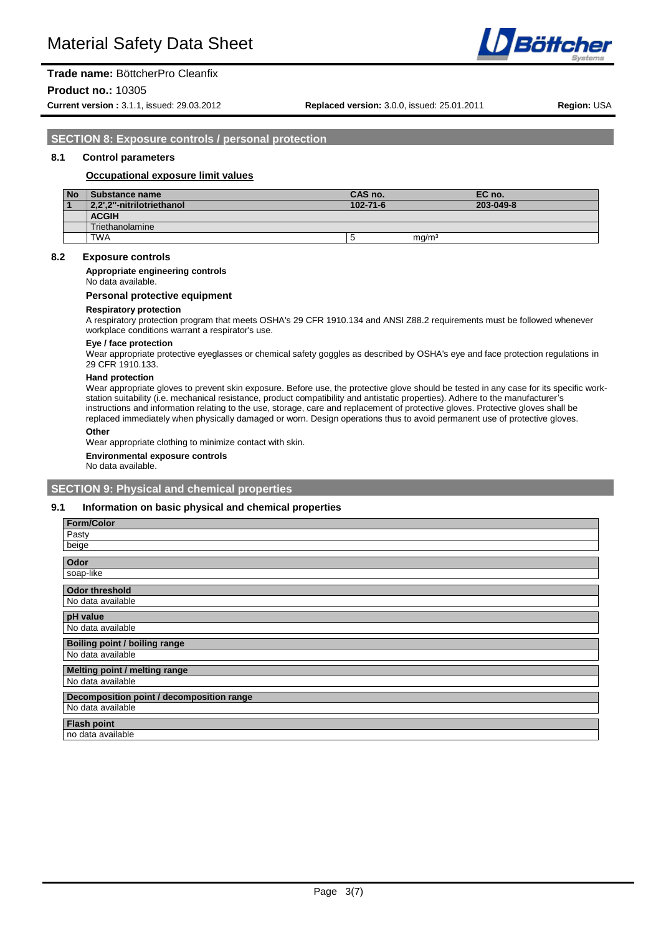

# **Product no.:** 10305

**Current version :** 3.1.1, issued: 29.03.2012 **Replaced version:** 3.0.0, issued: 25.01.2011 **Region:** USA

**SECTION 8: Exposure controls / personal protection**

## **8.1 Control parameters**

### **Occupational exposure limit values**

| <b>No</b> | <b>Substance name</b>     | CAS no.        |                   | EC no.    |
|-----------|---------------------------|----------------|-------------------|-----------|
|           | 2.2".2"-nitrilotriethanol | $102 - 71 - 6$ |                   | 203-049-8 |
|           | <b>ACGIH</b>              |                |                   |           |
|           | Triethanolamine           |                |                   |           |
|           | <b>TWA</b>                |                | ma/m <sup>3</sup> |           |

#### **8.2 Exposure controls**

**Appropriate engineering controls**

No data available.

#### **Personal protective equipment**

#### **Respiratory protection**

A respiratory protection program that meets OSHA's 29 CFR 1910.134 and ANSI Z88.2 requirements must be followed whenever workplace conditions warrant a respirator's use.

**Eye / face protection** Wear appropriate protective eyeglasses or chemical safety goggles as described by OSHA's eye and face protection regulations in 29 CFR 1910.133.

#### **Hand protection**

Wear appropriate gloves to prevent skin exposure. Before use, the protective glove should be tested in any case for its specific workstation suitability (i.e. mechanical resistance, product compatibility and antistatic properties). Adhere to the manufacturer's instructions and information relating to the use, storage, care and replacement of protective gloves. Protective gloves shall be replaced immediately when physically damaged or worn. Design operations thus to avoid permanent use of protective gloves.

**Other**

Wear appropriate clothing to minimize contact with skin.

**Environmental exposure controls**

No data available.

#### **SECTION 9: Physical and chemical properties**

#### **9.1 Information on basic physical and chemical properties**

| <b>Form/Color</b>                         |
|-------------------------------------------|
| Pasty                                     |
| beige                                     |
| Odor                                      |
| soap-like                                 |
| <b>Odor threshold</b>                     |
| No data available                         |
| pH value                                  |
| No data available                         |
| <b>Boiling point / boiling range</b>      |
| No data available                         |
| Melting point / melting range             |
| No data available                         |
| Decomposition point / decomposition range |
| No data available                         |
| <b>Flash point</b>                        |
| no data available                         |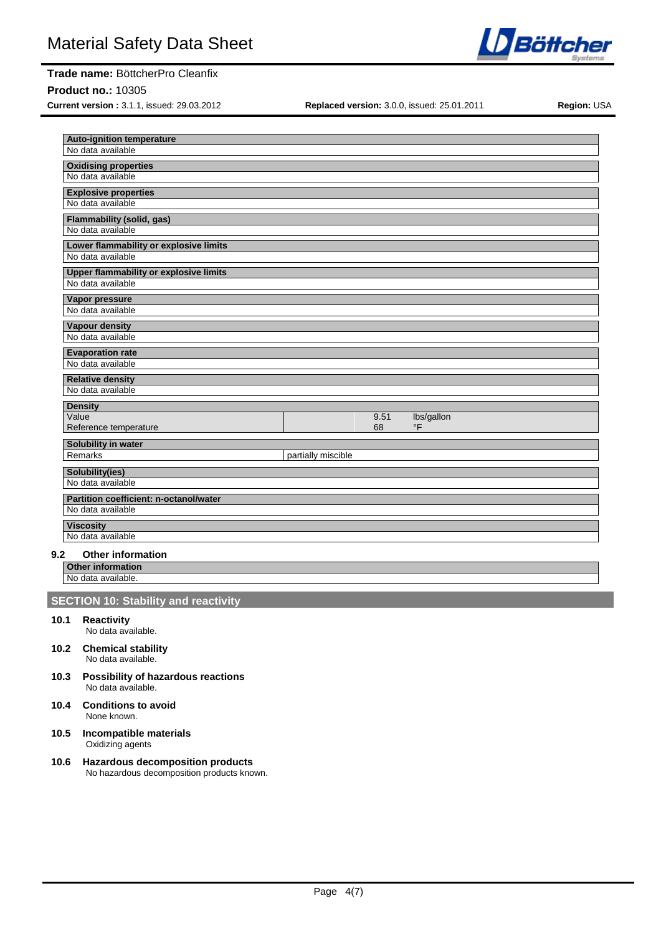**Product no.:** 10305

**Current version :** 3.1.1, issued: 29.03.2012 **Replaced version:** 3.0.0, issued: 25.01.2011 **Region:** USA

**10.6 Hazardous decomposition products** No hazardous decomposition products known.

| No data available                                                  |                    |      |            |  |
|--------------------------------------------------------------------|--------------------|------|------------|--|
|                                                                    |                    |      |            |  |
| <b>Oxidising properties</b>                                        |                    |      |            |  |
| No data available                                                  |                    |      |            |  |
| <b>Explosive properties</b>                                        |                    |      |            |  |
| No data available                                                  |                    |      |            |  |
| <b>Flammability (solid, gas)</b>                                   |                    |      |            |  |
| No data available                                                  |                    |      |            |  |
| Lower flammability or explosive limits                             |                    |      |            |  |
| No data available                                                  |                    |      |            |  |
| <b>Upper flammability or explosive limits</b><br>No data available |                    |      |            |  |
|                                                                    |                    |      |            |  |
| <b>Vapor pressure</b><br>No data available                         |                    |      |            |  |
|                                                                    |                    |      |            |  |
| <b>Vapour density</b><br>No data available                         |                    |      |            |  |
| <b>Evaporation rate</b>                                            |                    |      |            |  |
| No data available                                                  |                    |      |            |  |
| <b>Relative density</b>                                            |                    |      |            |  |
| No data available                                                  |                    |      |            |  |
| <b>Density</b>                                                     |                    |      |            |  |
| Value                                                              |                    | 9.51 | lbs/gallon |  |
| Reference temperature                                              |                    | 68   | $\circ$ F  |  |
| Solubility in water                                                |                    |      |            |  |
| Remarks                                                            | partially miscible |      |            |  |
| Solubility(ies)                                                    |                    |      |            |  |
| No data available                                                  |                    |      |            |  |
| Partition coefficient: n-octanol/water<br>No data available        |                    |      |            |  |
|                                                                    |                    |      |            |  |
| <b>Viscosity</b><br>No data available                              |                    |      |            |  |
| <b>Other information</b>                                           |                    |      |            |  |

# **Other information**

No data available.

# **SECTION 10: Stability and reactivity**

- **10.1 Reactivity** No data available.
- **10.2 Chemical stability** No data available.
- **10.3 Possibility of hazardous reactions** No data available.
- **10.4 Conditions to avoid** None known.
- **10.5 Incompatible materials** Oxidizing agents

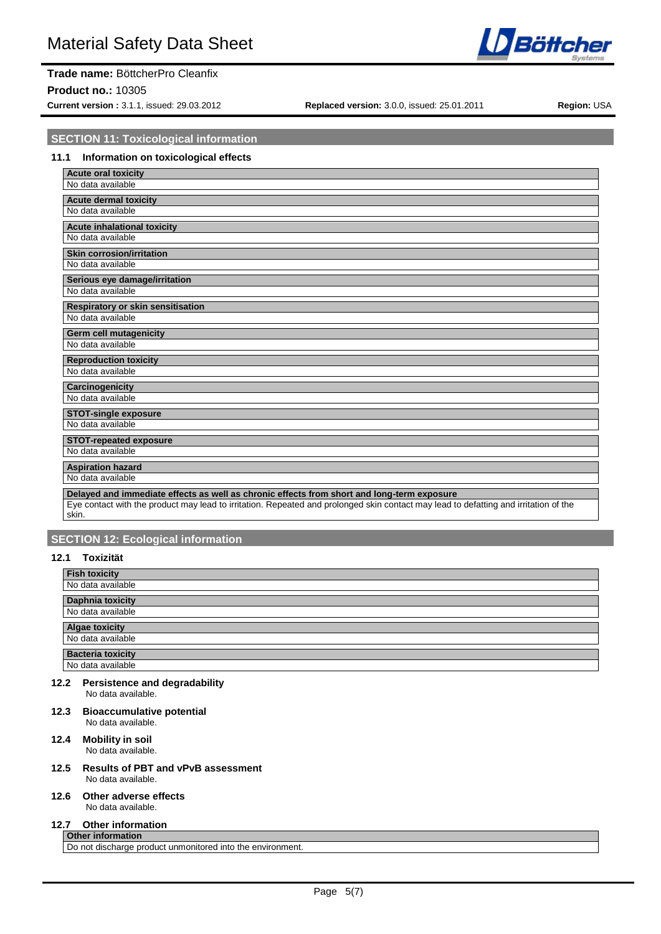#### **Product no.:** 10305

**Current version :** 3.1.1, issued: 29.03.2012 **Replaced version:** 3.0.0, issued: 25.01.2011 **Region:** USA

**Böttcher** 

# **SECTION 11: Toxicological information**

# **11.1 Information on toxicological effects**

| <b>Acute oral toxicity</b>                                                                                                           |
|--------------------------------------------------------------------------------------------------------------------------------------|
| No data available                                                                                                                    |
| <b>Acute dermal toxicity</b>                                                                                                         |
| No data available                                                                                                                    |
| Acute inhalational toxicity                                                                                                          |
| No data available                                                                                                                    |
| <b>Skin corrosion/irritation</b>                                                                                                     |
| No data available                                                                                                                    |
| Serious eye damage/irritation                                                                                                        |
| No data available                                                                                                                    |
| Respiratory or skin sensitisation                                                                                                    |
| No data available                                                                                                                    |
| Germ cell mutagenicity                                                                                                               |
| No data available                                                                                                                    |
|                                                                                                                                      |
| <b>Reproduction toxicity</b><br>No data available                                                                                    |
|                                                                                                                                      |
| Carcinogenicity<br>No data available                                                                                                 |
|                                                                                                                                      |
| <b>STOT-single exposure</b><br>No data available                                                                                     |
|                                                                                                                                      |
| <b>STOT-repeated exposure</b>                                                                                                        |
| No data available                                                                                                                    |
| <b>Aspiration hazard</b>                                                                                                             |
| No data available                                                                                                                    |
| Delayed and immediate effects as well as chronic effects from short and long-term exposure                                           |
| Eye contact with the product may lead to irritation. Repeated and prolonged skin contact may lead to defatting and irritation of the |

#### skin.

# **SECTION 12: Ecological information**

# **12.1 Toxizität**

| <b>Fish toxicity</b>     |
|--------------------------|
| No data available        |
| <b>Daphnia toxicity</b>  |
| No data available        |
| <b>Algae toxicity</b>    |
|                          |
| No data available        |
| <b>Bacteria toxicity</b> |

#### **12.2 Persistence and degradability** No data available.

**12.3 Bioaccumulative potential** No data available.

#### **12.4 Mobility in soil** No data available.

**12.5 Results of PBT and vPvB assessment** No data available.

#### **12.6 Other adverse effects**

No data available.

### **12.7 Other information**

**Other information** Do not discharge product unmonitored into the environment.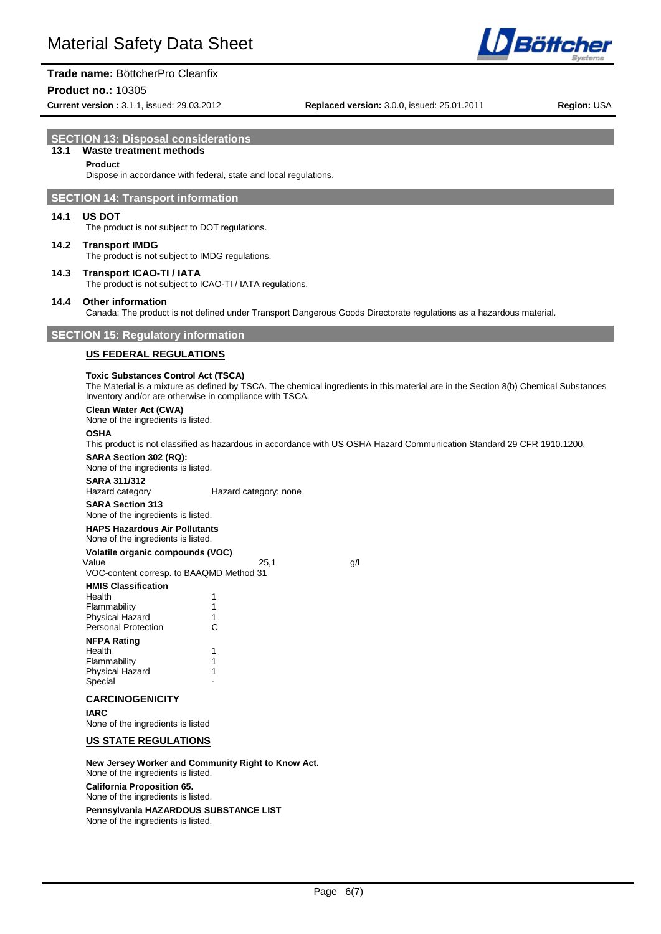

#### **Product no.:** 10305

**Current version :** 3.1.1, issued: 29.03.2012 **Replaced version:** 3.0.0, issued: 25.01.2011 **Region:** USA

Böttchei

# **SECTION 13: Disposal considerations**

# **13.1 Waste treatment methods**

# **Product**

Dispose in accordance with federal, state and local regulations.

# **SECTION 14: Transport information**

#### **14.1 US DOT**

The product is not subject to DOT regulations.

# **14.2 Transport IMDG**

The product is not subject to IMDG regulations.

# **14.3 Transport ICAO-TI / IATA**

The product is not subject to ICAO-TI / IATA regulations.

# **14.4 Other information**

Canada: The product is not defined under Transport Dangerous Goods Directorate regulations as a hazardous material.

# **SECTION 15: Regulatory information**

#### **US FEDERAL REGULATIONS**

#### **Toxic Substances Control Act (TSCA)**

The Material is a mixture as defined by TSCA. The chemical ingredients in this material are in the Section 8(b) Chemical Substances Inventory and/or are otherwise in compliance with TSCA.

#### **Clean Water Act (CWA)**

None of the ingredients is listed.

# **OSHA**

This product is not classified as hazardous in accordance with US OSHA Hazard Communication Standard 29 CFR 1910.1200.

# **SARA Section 302 (RQ):**

None of the ingredients is listed.

# **SARA 311/312**

Hazard category: none

# **SARA Section 313**

None of the ingredients is listed. **HAPS Hazardous Air Pollutants**

# None of the ingredients is listed.

**Volatile organic compounds (VOC)**

Value 9/1 VOC-content corresp. to BAAQMD Method 31

| <b>HMIS Classification</b> |  |
|----------------------------|--|
| Health                     |  |

| Flammability               |   |
|----------------------------|---|
| <b>Physical Hazard</b>     | 1 |
| <b>Personal Protection</b> | C |
| <b>NFPA Rating</b>         |   |
| Health                     |   |
| Flammability               | 1 |
| <b>Physical Hazard</b>     | 1 |
| Special                    |   |

### **CARCINOGENICITY**

**IARC**

None of the ingredients is listed

#### **US STATE REGULATIONS**

**New Jersey Worker and Community Right to Know Act.** None of the ingredients is listed.

**California Proposition 65.** None of the ingredients is listed. **Pennsylvania HAZARDOUS SUBSTANCE LIST** None of the ingredients is listed.